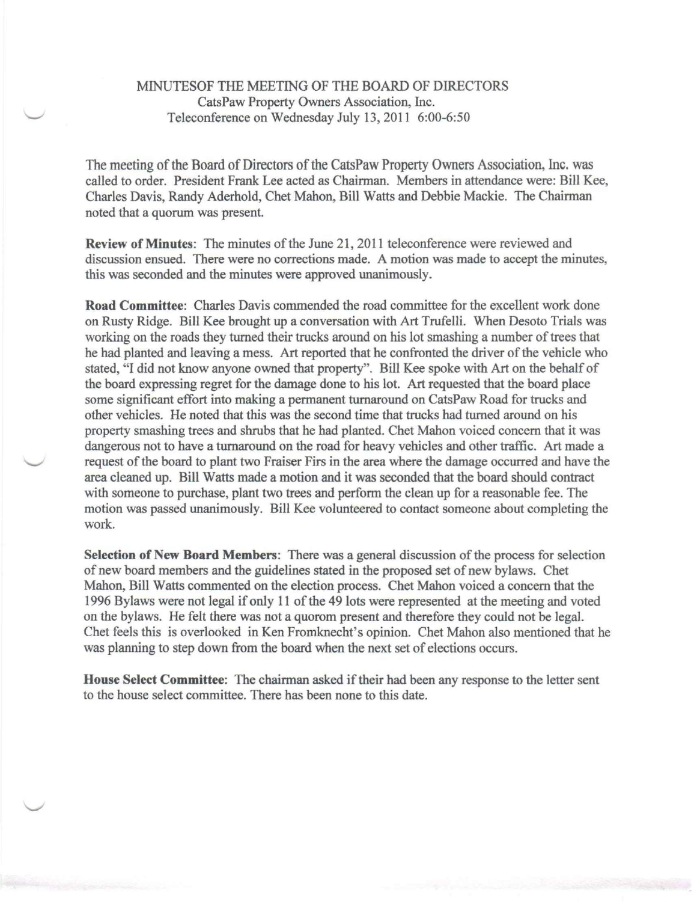## MINUTESOF THE MEETING OF THE BOARD OF DIRECTORS CatsPaw Property Owners Association, Inc. Teleconference on Wednesday July 13,2011 6:00-6:50

The meeting of the Board of Directors of the CatsPaw Property Owners Association, Inc. was called to order. President Frank Lee acted as Chairman. Members in attendance were: Bill Kee, Charles Davis, Randy Aderhold, Chet Mahon, Bill Watts and Debbie Mackie. The Chairman noted that a quorum was present.

Review of Minutes: The minutes of the June 21, 2011 teleconference were reviewed and discussion ensued. There were no corrections made. A motion was made to accept the minutes, this was seconded and the minutes were approved unanimously.

Road Committee: Charles Davis commended the road committee for the excellent work done on Rusty Ridge. Bill Kee brought up a conversation with Art Trufelli. When Desoto Trials was working on the roads they turned their trucks around on his lot smashing a number of trees that he had planted and leaving a mess. Art reported that he confronted the driver of the vehicle who stated, "I did not know anyone owned that property". Bill Kee spoke with Art on the behalf of the board expressing regret for the damage done to his lot. Art requested that the board place some significant effort into making a permanent turnaround on CatsPaw Road for trucks and other vehicles. He noted that this was the second time that trucks had turned around on his property smashing trees and shrubs that he had planted. Chet Mahon voiced concern that it was dangerous not to have a turnaround on the road for heavy vehicles and other traffic. Art made a request of the board to plant two Fraiser Firs inthe area where the damage occurred and have the area cleaned up. Bill Watts made a motion and it was seconded that the board should contract with someone to purchase, plant two trees and perform the clean up for a reasonable fee. The motion was passed unanimously. Bill Kee volunteered to contact someone about completing the work.

Selection of New Board Members: There was a general discussion of the process for selection of new board members and the guidelines stated in the proposed set of new bylaws. Chet Mahon, Bill Watts commented on the election process. Chet Mahon voiced a concern that the 1996 Bylaws were not legal if only 11 of the 49 lots were represented at the meeting and voted on the bylaws. He felt there was not a quorom present and therefore they could not be legal. Chet feels this is overlooked in Ken Fromknecht's opinion. Chet Mahon also mentioned that he was planning to step down from the board when the next set of elections occurs.

House Select Committee: The chairman asked if their had been any response to the letter sent to the house select committee. There has been none to this date.